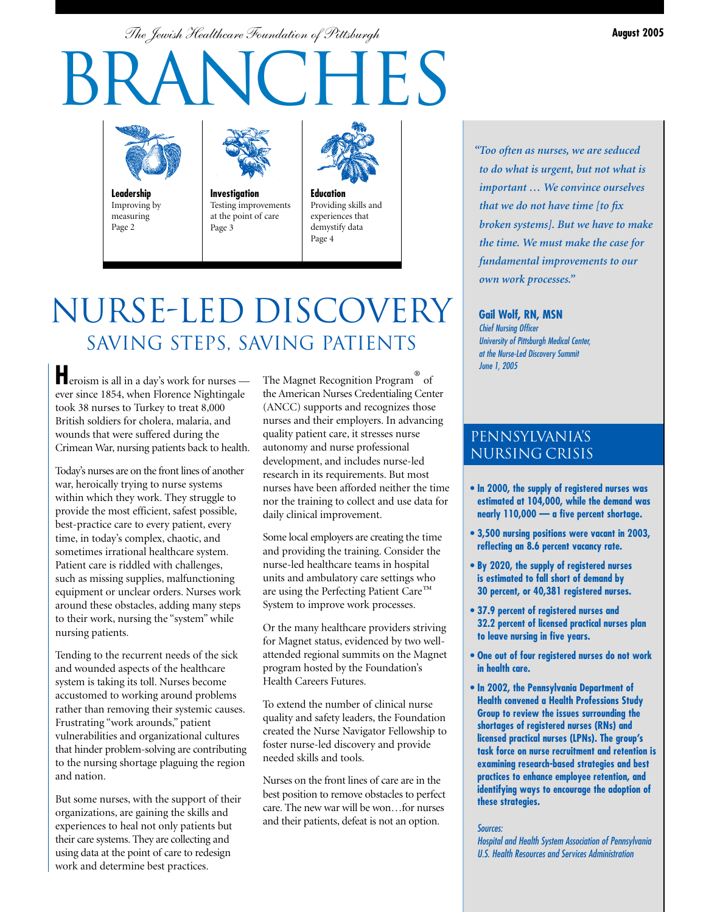*The Jewish Healthcare Foundation of Pittsburgh* **August 2005**

# CHES



**Leadership** Improving by measuring Page 2



**Investigation** Testing improvements at the point of care Page 3



**Education** Providing skills and experiences that demystify data Page 4

# NURSE-LED DISCOVERY SAVING STEPS, SAVING PATIENTS

**H**eroism is all in a day's work for nurses ever since 1854, when Florence Nightingale took 38 nurses to Turkey to treat 8,000 British soldiers for cholera, malaria, and wounds that were suffered during the Crimean War, nursing patients back to health.

Today's nurses are on the front lines of another war, heroically trying to nurse systems within which they work. They struggle to provide the most efficient, safest possible, best-practice care to every patient, every time, in today's complex, chaotic, and sometimes irrational healthcare system. Patient care is riddled with challenges, such as missing supplies, malfunctioning equipment or unclear orders. Nurses work around these obstacles, adding many steps to their work, nursing the "system" while nursing patients.

Tending to the recurrent needs of the sick and wounded aspects of the healthcare system is taking its toll. Nurses become accustomed to working around problems rather than removing their systemic causes. Frustrating "work arounds," patient vulnerabilities and organizational cultures that hinder problem-solving are contributing to the nursing shortage plaguing the region and nation.

But some nurses, with the support of their organizations, are gaining the skills and experiences to heal not only patients but their care systems. They are collecting and using data at the point of care to redesign work and determine best practices.

The Magnet Recognition Program® of the American Nurses Credentialing Center (ANCC) supports and recognizes those nurses and their employers. In advancing quality patient care, it stresses nurse autonomy and nurse professional development, and includes nurse-led research in its requirements. But most nurses have been afforded neither the time nor the training to collect and use data for daily clinical improvement.

Some local employers are creating the time and providing the training. Consider the nurse-led healthcare teams in hospital units and ambulatory care settings who are using the Perfecting Patient Care™ System to improve work processes.

Or the many healthcare providers striving for Magnet status, evidenced by two wellattended regional summits on the Magnet program hosted by the Foundation's Health Careers Futures.

To extend the number of clinical nurse quality and safety leaders, the Foundation created the Nurse Navigator Fellowship to foster nurse-led discovery and provide needed skills and tools.

Nurses on the front lines of care are in the best position to remove obstacles to perfect care. The new war will be won…for nurses and their patients, defeat is not an option.

*"Too often as nurses, we are seduced to do what is urgent, but not what is important … We convince ourselves that we do not have time [to fix broken systems]. But we have to make the time. We must make the case for fundamental improvements to our own work processes."*

**Gail Wolf, RN, MSN** Chief Nursing Officer University of Pittsburgh Medical Center, at the Nurse-Led Discovery Summit June 1, 2005

## PENNSYLVANIA's NURSING CRISIS

- **In 2000, the supply of registered nurses was estimated at 104,000, while the demand was nearly 110,000 — a five percent shortage.**
- **3,500 nursing positions were vacant in 2003, reflecting an 8.6 percent vacancy rate.**
- **By 2020, the supply of registered nurses is estimated to fall short of demand by 30 percent, or 40,381 registered nurses.**
- **37.9 percent of registered nurses and 32.2 percent of licensed practical nurses plan to leave nursing in five years.**
- **One out of four registered nurses do not work in health care.**
- **In 2002, the Pennsylvania Department of Health convened a Health Professions Study Group to review the issues surrounding the shortages of registered nurses (RNs) and licensed practical nurses (LPNs). The group's task force on nurse recruitment and retention is examining research-based strategies and best practices to enhance employee retention, and identifying ways to encourage the adoption of these strategies.**

#### Sources:

Hospital and Health System Association of Pennsylvania U.S. Health Resources and Services Administration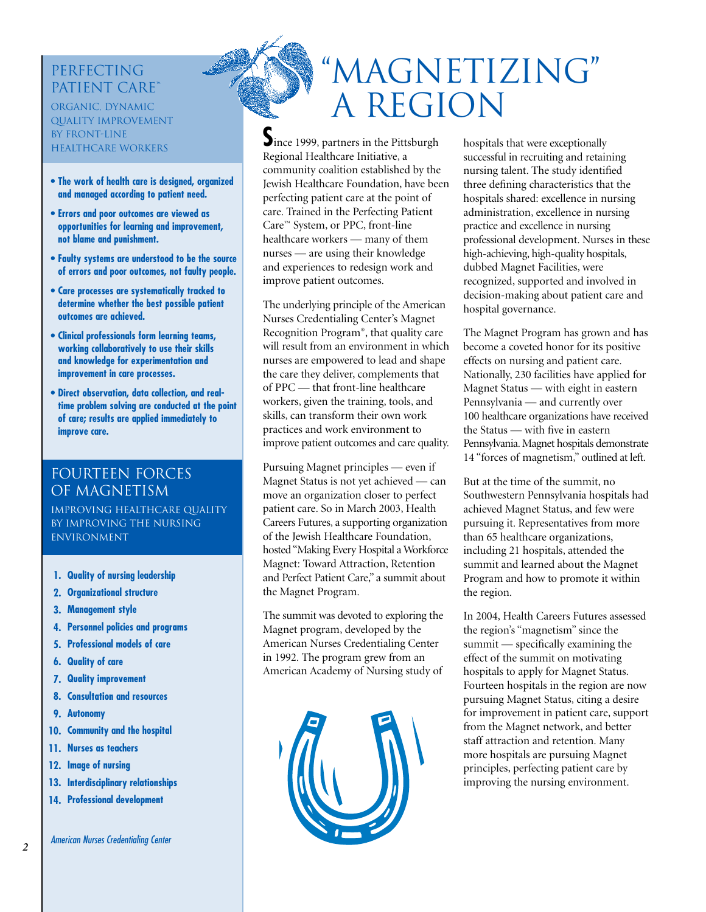## **PERFECTING** Patient Care**™**

organic, dynamic quality improvement by front-line healthcare workers

- **The work of health care is designed, organized and managed according to patient need.**
- **Errors and poor outcomes are viewed as opportunities for learning and improvement, not blame and punishment.**
- **Faulty systems are understood to be the source of errors and poor outcomes, not faulty people.**
- **Care processes are systematically tracked to determine whether the best possible patient outcomes are achieved.**
- **Clinical professionals form learning teams, working collaboratively to use their skills and knowledge for experimentation and improvement in care processes.**
- **Direct observation, data collection, and realtime problem solving are conducted at the point of care; results are applied immediately to improve care.**

## Fourteen Forces OF MAGNETISM

improving healthcare quality by Improving the nursing **ENVIRONMENT** 

- **Quality of nursing leadership 1.**
- **Organizational structure 2.**
- **Management style 3.**
- **Personnel policies and programs 4.**
- **Professional models of care 5.**
- **Quality of care 6.**
- **Quality improvement 7.**
- **Consultation and resources 8.**
- **Autonomy 9.**
- **Community and the hospital 10.**
- **Nurses as teachers 11.**
- **12.** Image of nursing
- **Interdisciplinary relationships 13.**
- **Professional development 14.**



**S**ince 1999, partners in the Pittsburgh Regional Healthcare Initiative, a community coalition established by the Jewish Healthcare Foundation, have been perfecting patient care at the point of care. Trained in the Perfecting Patient Care™ System, or PPC, front-line healthcare workers — many of them nurses — are using their knowledge and experiences to redesign work and improve patient outcomes.

The underlying principle of the American Nurses Credentialing Center's Magnet Recognition Program®, that quality care will result from an environment in which nurses are empowered to lead and shape the care they deliver, complements that of PPC — that front-line healthcare workers, given the training, tools, and skills, can transform their own work practices and work environment to improve patient outcomes and care quality.

Pursuing Magnet principles — even if Magnet Status is not yet achieved — can move an organization closer to perfect patient care. So in March 2003, Health Careers Futures, a supporting organization of the Jewish Healthcare Foundation, hosted "Making Every Hospital a Workforce Magnet: Toward Attraction, Retention and Perfect Patient Care," a summit about the Magnet Program.

The summit was devoted to exploring the Magnet program, developed by the American Nurses Credentialing Center in 1992. The program grew from an American Academy of Nursing study of



hospitals that were exceptionally successful in recruiting and retaining nursing talent. The study identified three defining characteristics that the hospitals shared: excellence in nursing administration, excellence in nursing practice and excellence in nursing professional development. Nurses in these high-achieving, high-quality hospitals, dubbed Magnet Facilities, were recognized, supported and involved in decision-making about patient care and hospital governance.

The Magnet Program has grown and has become a coveted honor for its positive effects on nursing and patient care. Nationally, 230 facilities have applied for Magnet Status — with eight in eastern Pennsylvania — and currently over 100 healthcare organizations have received the Status — with five in eastern Pennsylvania. Magnet hospitals demonstrate 14 "forces of magnetism," outlined at left.

But at the time of the summit, no Southwestern Pennsylvania hospitals had achieved Magnet Status, and few were pursuing it. Representatives from more than 65 healthcare organizations, including 21 hospitals, attended the summit and learned about the Magnet Program and how to promote it within the region.

In 2004, Health Careers Futures assessed the region's "magnetism" since the summit — specifically examining the effect of the summit on motivating hospitals to apply for Magnet Status. Fourteen hospitals in the region are now pursuing Magnet Status, citing a desire for improvement in patient care, support from the Magnet network, and better staff attraction and retention. Many more hospitals are pursuing Magnet principles, perfecting patient care by improving the nursing environment.

*2*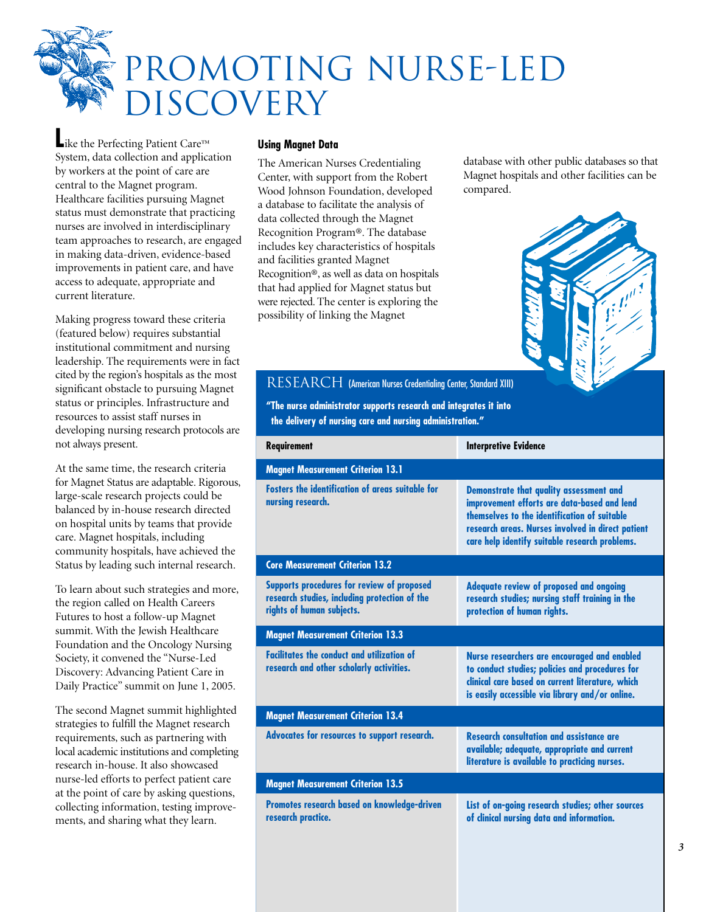

**L**ike the Perfecting Patient Care™ System, data collection and application by workers at the point of care are central to the Magnet program. Healthcare facilities pursuing Magnet status must demonstrate that practicing nurses are involved in interdisciplinary team approaches to research, are engaged in making data-driven, evidence-based improvements in patient care, and have access to adequate, appropriate and current literature.

Making progress toward these criteria (featured below) requires substantial institutional commitment and nursing leadership. The requirements were in fact cited by the region's hospitals as the most significant obstacle to pursuing Magnet status or principles. Infrastructure and resources to assist staff nurses in developing nursing research protocols are not always present.

At the same time, the research criteria for Magnet Status are adaptable. Rigorous, large-scale research projects could be balanced by in-house research directed on hospital units by teams that provide care. Magnet hospitals, including community hospitals, have achieved the Status by leading such internal research.

To learn about such strategies and more, the region called on Health Careers Futures to host a follow-up Magnet summit. With the Jewish Healthcare Foundation and the Oncology Nursing Society, it convened the "Nurse-Led Discovery: Advancing Patient Care in Daily Practice" summit on June 1, 2005.

The second Magnet summit highlighted strategies to fulfill the Magnet research requirements, such as partnering with local academic institutions and completing research in-house. It also showcased nurse-led efforts to perfect patient care at the point of care by asking questions, collecting information, testing improvements, and sharing what they learn.

#### **Using Magnet Data**

The American Nurses Credentialing Center, with support from the Robert Wood Johnson Foundation, developed a database to facilitate the analysis of data collected through the Magnet Recognition Program®. The database includes key characteristics of hospitals and facilities granted Magnet Recognition®, as well as data on hospitals that had applied for Magnet status but were rejected. The center is exploring the possibility of linking the Magnet

database with other public databases so that Magnet hospitals and other facilities can be compared.



|                                                                                                                          | <b>Interpretive Evidence</b>                                                                                                                                                                                                                  |
|--------------------------------------------------------------------------------------------------------------------------|-----------------------------------------------------------------------------------------------------------------------------------------------------------------------------------------------------------------------------------------------|
| <b>Magnet Measurement Criterion 13.1</b>                                                                                 |                                                                                                                                                                                                                                               |
| Fosters the identification of areas suitable for<br>nursing research.                                                    | Demonstrate that quality assessment and<br>improvement efforts are data-based and lend<br>themselves to the identification of suitable<br>research areas. Nurses involved in direct patient<br>care help identify suitable research problems. |
| <b>Core Measurement Criterion 13.2</b>                                                                                   |                                                                                                                                                                                                                                               |
| Supports procedures for review of proposed<br>research studies, including protection of the<br>rights of human subjects. | Adequate review of proposed and ongoing<br>research studies; nursing staff training in the<br>protection of human rights.                                                                                                                     |
| <b>Magnet Measurement Criterion 13.3</b>                                                                                 |                                                                                                                                                                                                                                               |
| <b>Facilitates the conduct and utilization of</b><br>research and other scholarly activities.                            | Nurse researchers are encouraged and enabled<br>to conduct studies; policies and procedures for<br>clinical care based on current literature, which<br>is easily accessible via library and/or online.                                        |
| <b>Magnet Measurement Criterion 13.4</b>                                                                                 |                                                                                                                                                                                                                                               |
| Advocates for resources to support research.                                                                             | <b>Research consultation and assistance are</b><br>available; adequate, appropriate and current<br>literature is available to practicing nurses.                                                                                              |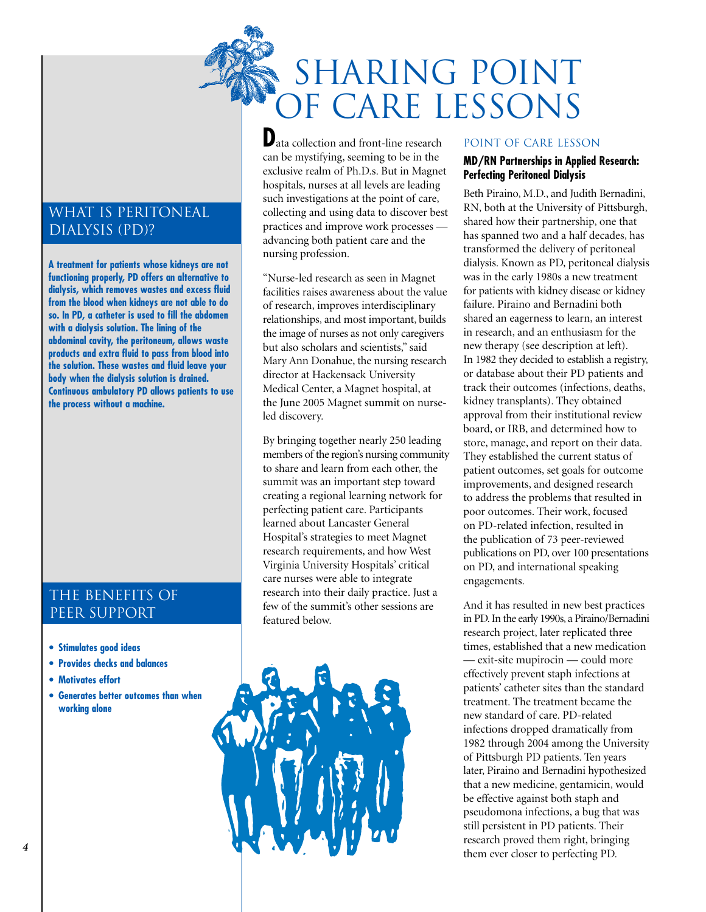

WHAT IS PERITONEAL Dialysis (PD)?

**A treatment for patients whose kidneys are not functioning properly, PD offers an alternative to dialysis, which removes wastes and excess fluid from the blood when kidneys are not able to do so. In PD, a catheter is used to fill the abdomen with a dialysis solution. The lining of the abdominal cavity, the peritoneum, allows waste products and extra fluid to pass from blood into the solution. These wastes and fluid leave your body when the dialysis solution is drained. Continuous ambulatory PD allows patients to use the process without a machine.**

## The Benefits of PEER SUPPORT

- **Stimulates good ideas**
- **Provides checks and balances**
- **Motivates effort**
- **Generates better outcomes than when working alone**

**D**ata collection and front-line research can be mystifying, seeming to be in the exclusive realm of Ph.D.s. But in Magnet hospitals, nurses at all levels are leading such investigations at the point of care, collecting and using data to discover best practices and improve work processes advancing both patient care and the nursing profession.

"Nurse-led research as seen in Magnet facilities raises awareness about the value of research, improves interdisciplinary relationships, and most important, builds the image of nurses as not only caregivers but also scholars and scientists," said Mary Ann Donahue, the nursing research director at Hackensack University Medical Center, a Magnet hospital, at the June 2005 Magnet summit on nurseled discovery.

By bringing together nearly 250 leading members of the region's nursing community to share and learn from each other, the summit was an important step toward creating a regional learning network for perfecting patient care. Participants learned about Lancaster General Hospital's strategies to meet Magnet research requirements, and how West Virginia University Hospitals' critical care nurses were able to integrate research into their daily practice. Just a few of the summit's other sessions are featured below.



#### Point of Care Lesson

### **MD/RN Partnerships in Applied Research: Perfecting Peritoneal Dialysis**

Beth Piraino, M.D., and Judith Bernadini, RN, both at the University of Pittsburgh, shared how their partnership, one that has spanned two and a half decades, has transformed the delivery of peritoneal dialysis. Known as PD, peritoneal dialysis was in the early 1980s a new treatment for patients with kidney disease or kidney failure. Piraino and Bernadini both shared an eagerness to learn, an interest in research, and an enthusiasm for the new therapy (see description at left). In 1982 they decided to establish a registry, or database about their PD patients and track their outcomes (infections, deaths, kidney transplants). They obtained approval from their institutional review board, or IRB, and determined how to store, manage, and report on their data. They established the current status of patient outcomes, set goals for outcome improvements, and designed research to address the problems that resulted in poor outcomes. Their work, focused on PD-related infection, resulted in the publication of 73 peer-reviewed publications on PD, over 100 presentations on PD, and international speaking engagements.

And it has resulted in new best practices in PD. In the early 1990s, a Piraino/Bernadini research project, later replicated three times, established that a new medication — exit-site mupirocin — could more effectively prevent staph infections at patients' catheter sites than the standard treatment. The treatment became the new standard of care. PD-related infections dropped dramatically from 1982 through 2004 among the University of Pittsburgh PD patients. Ten years later, Piraino and Bernadini hypothesized that a new medicine, gentamicin, would be effective against both staph and pseudomona infections, a bug that was still persistent in PD patients. Their research proved them right, bringing them ever closer to perfecting PD.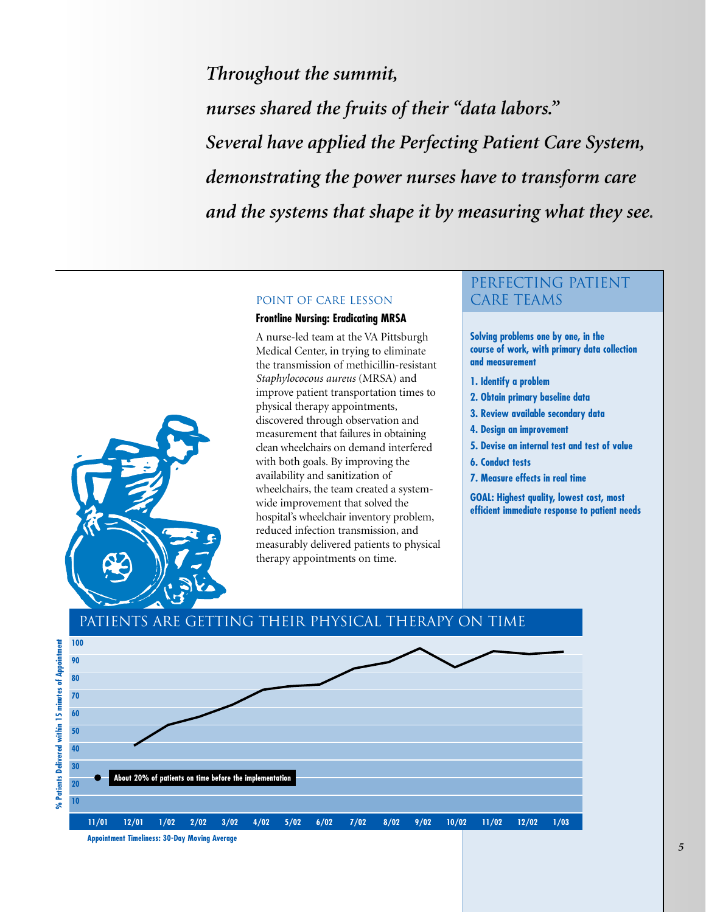*Throughout the summit, nurses shared the fruits of their "data labors." Several have applied the Perfecting Patient Care System, demonstrating the power nurses have to transform care and the systems that shape it by measuring what they see.*

#### Point of Care Lesson

#### **Frontline Nursing: Eradicating MRSA**

A nurse-led team at the VA Pittsburgh Medical Center, in trying to eliminate the transmission of methicillin-resistant *Staphylococous aureus* (MRSA) and improve patient transportation times to physical therapy appointments, discovered through observation and measurement that failures in obtaining clean wheelchairs on demand interfered with both goals. By improving the availability and sanitization of wheelchairs, the team created a systemwide improvement that solved the hospital's wheelchair inventory problem, reduced infection transmission, and measurably delivered patients to physical therapy appointments on time.

## Perfecting patient CARE TEAMS

**Solving problems one by one, in the course of work, with primary data collection and measurement**

- **1. Identify a problem**
- **2. Obtain primary baseline data**
- **3. Review available secondary data**
- **4. Design an improvement**
- **5. Devise an internal test and test of value**
- **6. Conduct tests**
- **7. Measure effects in real time**

**GOAL: Highest quality, lowest cost, most efficient immediate response to patient needs**



## Patients are getting their physical therapy on time

**Appointment Timeliness: 30-Day Moving Average**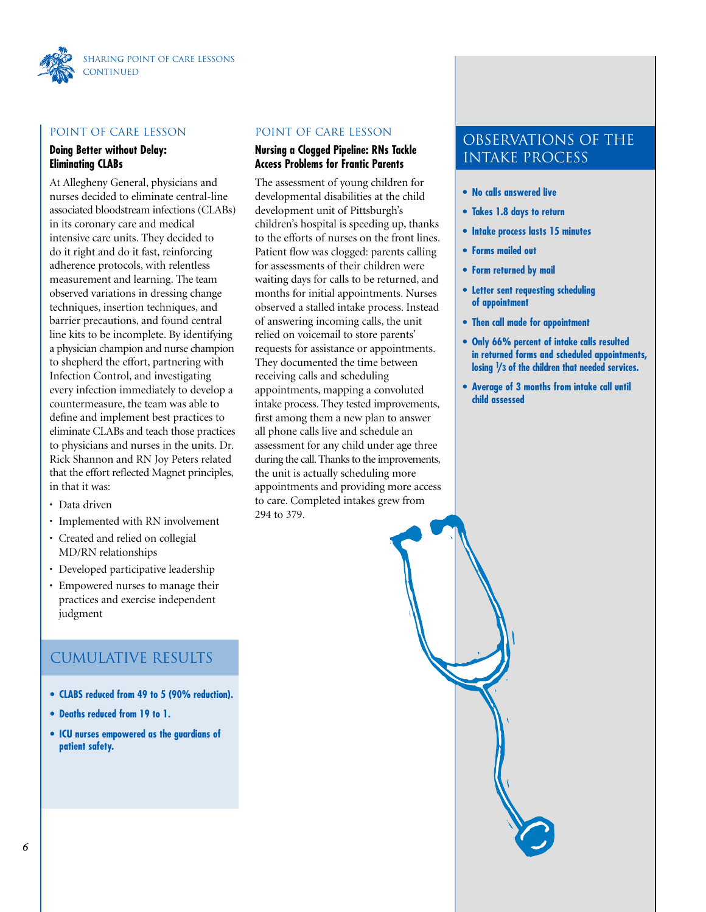

#### Point of Care Lesson

### **Doing Better without Delay: Eliminating CLABs**

At Allegheny General, physicians and nurses decided to eliminate central-line associated bloodstream infections (CLABs) in its coronary care and medical intensive care units. They decided to do it right and do it fast, reinforcing adherence protocols, with relentless measurement and learning. The team observed variations in dressing change techniques, insertion techniques, and barrier precautions, and found central line kits to be incomplete. By identifying a physician champion and nurse champion to shepherd the effort, partnering with Infection Control, and investigating every infection immediately to develop a countermeasure, the team was able to define and implement best practices to eliminate CLABs and teach those practices to physicians and nurses in the units. Dr. Rick Shannon and RN Joy Peters related that the effort reflected Magnet principles, in that it was:

- Data driven
- Implemented with RN involvement
- Created and relied on collegial MD/RN relationships
- Developed participative leadership
- Empowered nurses to manage their practices and exercise independent judgment

## Cumulative Results

- **CLABS reduced from 49 to 5 (90% reduction).**
- **Deaths reduced from 19 to 1.**
- **ICU nurses empowered as the guardians of patient safety.**

#### Point of Care Lesson

#### **Nursing a Clogged Pipeline: RNs Tackle Access Problems for Frantic Parents**

The assessment of young children for developmental disabilities at the child development unit of Pittsburgh's children's hospital is speeding up, thanks to the efforts of nurses on the front lines. Patient flow was clogged: parents calling for assessments of their children were waiting days for calls to be returned, and months for initial appointments. Nurses observed a stalled intake process. Instead of answering incoming calls, the unit relied on voicemail to store parents' requests for assistance or appointments. They documented the time between receiving calls and scheduling appointments, mapping a convoluted intake process. They tested improvements, first among them a new plan to answer all phone calls live and schedule an assessment for any child under age three during the call. Thanks to the improvements, the unit is actually scheduling more appointments and providing more access to care. Completed intakes grew from 294 to 379.

## Observations of the Intake Process

- **No calls answered live**
- **Takes 1.8 days to return**
- **Intake process lasts 15 minutes**
- **Forms mailed out**
- **Form returned by mail**
- **Letter sent requesting scheduling of appointment**
- **Then call made for appointment**
- **Only 66% percent of intake calls resulted in returned forms and scheduled appointments, losing 1 /3 of the children that needed services.**
- **Average of 3 months from intake call until child assessed**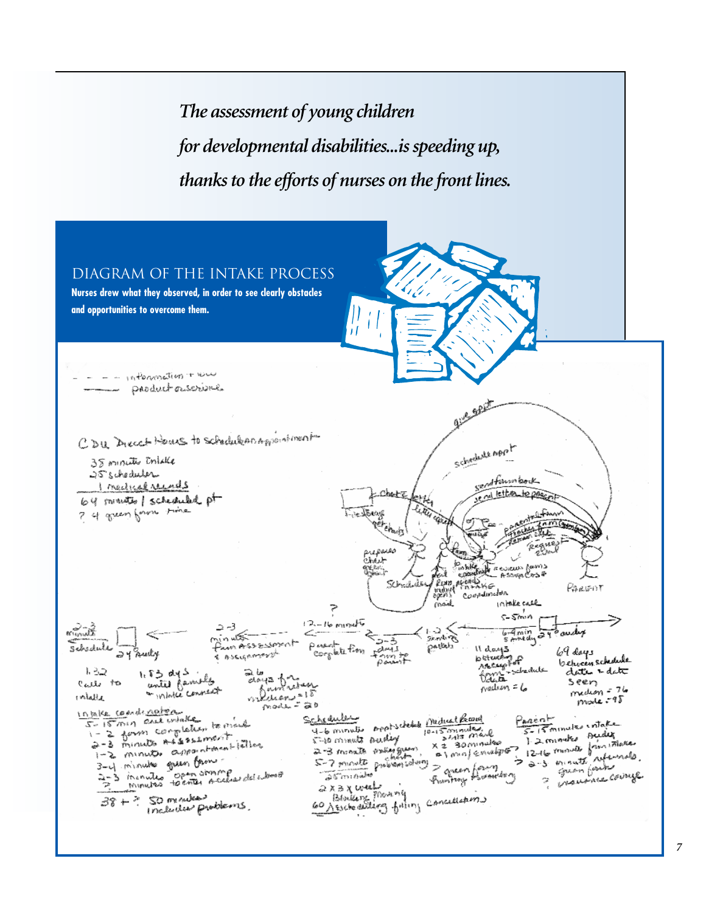*The assessment of young children for developmental disabilities...is speeding up, thanks to the efforts of nurses on the front lines.*



*7*